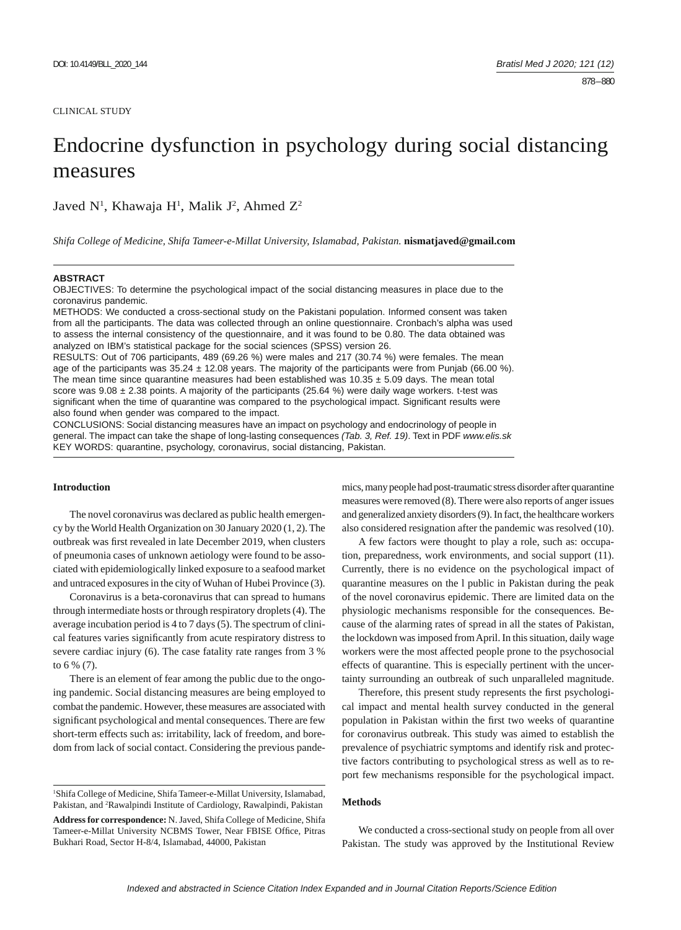## CLINICAL STUDY

# Endocrine dysfunction in psychology during social distancing measures

Javed N<sup>1</sup>, Khawaja H<sup>1</sup>, Malik J<sup>2</sup>, Ahmed Z<sup>2</sup>

*Shifa College of Medicine, Shifa Tameer-e-Millat University, Islamabad, Pakistan.* **nismatjaved@gmail.com**

## **ABSTRACT**

OBJECTIVES: To determine the psychological impact of the social distancing measures in place due to the coronavirus pandemic.

METHODS: We conducted a cross-sectional study on the Pakistani population. Informed consent was taken from all the participants. The data was collected through an online questionnaire. Cronbach's alpha was used to assess the internal consistency of the questionnaire, and it was found to be 0.80. The data obtained was analyzed on IBM's statistical package for the social sciences (SPSS) version 26.

RESULTS: Out of 706 participants, 489 (69.26 %) were males and 217 (30.74 %) were females. The mean age of the participants was  $35.24 \pm 12.08$  years. The majority of the participants were from Punjab (66.00 %). The mean time since quarantine measures had been established was  $10.35 \pm 5.09$  days. The mean total score was  $9.08 \pm 2.38$  points. A majority of the participants (25.64 %) were daily wage workers. t-test was significant when the time of quarantine was compared to the psychological impact. Significant results were also found when gender was compared to the impact.

CONCLUSIONS: Social distancing measures have an impact on psychology and endocrinology of people in general. The impact can take the shape of long-lasting consequences *(Tab. 3, Ref. 19)*. Text in PDF *www.elis.sk* KEY WORDS: quarantine, psychology, coronavirus, social distancing, Pakistan.

# **Introduction**

The novel coronavirus was declared as public health emergency by the World Health Organization on 30 January 2020 (1, 2). The outbreak was first revealed in late December 2019, when clusters of pneumonia cases of unknown aetiology were found to be associated with epidemiologically linked exposure to a seafood market and untraced exposures in the city of Wuhan of Hubei Province (3).

Coronavirus is a beta-coronavirus that can spread to humans through intermediate hosts or through respiratory droplets (4). The average incubation period is 4 to 7 days (5). The spectrum of clinical features varies significantly from acute respiratory distress to severe cardiac injury (6). The case fatality rate ranges from 3 % to 6 % (7).

There is an element of fear among the public due to the ongoing pandemic. Social distancing measures are being employed to combat the pandemic. However, these measures are associated with significant psychological and mental consequences. There are few short-term effects such as: irritability, lack of freedom, and boredom from lack of social contact. Considering the previous pande-

1 Shifa College of Medicine, Shifa Tameer-e-Millat University, Islamabad, Pakistan, and <sup>2</sup>Rawalpindi Institute of Cardiology, Rawalpindi, Pakistan

**Address for correspondence:** N. Javed, Shifa College of Medicine, Shifa Tameer-e-Millat University NCBMS Tower, Near FBISE Office, Pitras Bukhari Road, Sector H-8/4, Islamabad, 44000, Pakistan

mics, many people had post-traumatic stress disorder after quarantine measures were removed (8). There were also reports of anger issues and generalized anxiety disorders (9). In fact, the healthcare workers also considered resignation after the pandemic was resolved (10).

A few factors were thought to play a role, such as: occupation, preparedness, work environments, and social support (11). Currently, there is no evidence on the psychological impact of quarantine measures on the l public in Pakistan during the peak of the novel coronavirus epidemic. There are limited data on the physiologic mechanisms responsible for the consequences. Because of the alarming rates of spread in all the states of Pakistan, the lockdown was imposed from April. In this situation, daily wage workers were the most affected people prone to the psychosocial effects of quarantine. This is especially pertinent with the uncertainty surrounding an outbreak of such unparalleled magnitude.

Therefore, this present study represents the first psychological impact and mental health survey conducted in the general population in Pakistan within the first two weeks of quarantine for coronavirus outbreak. This study was aimed to establish the prevalence of psychiatric symptoms and identify risk and protective factors contributing to psychological stress as well as to report few mechanisms responsible for the psychological impact.

# **Methods**

We conducted a cross-sectional study on people from all over Pakistan. The study was approved by the Institutional Review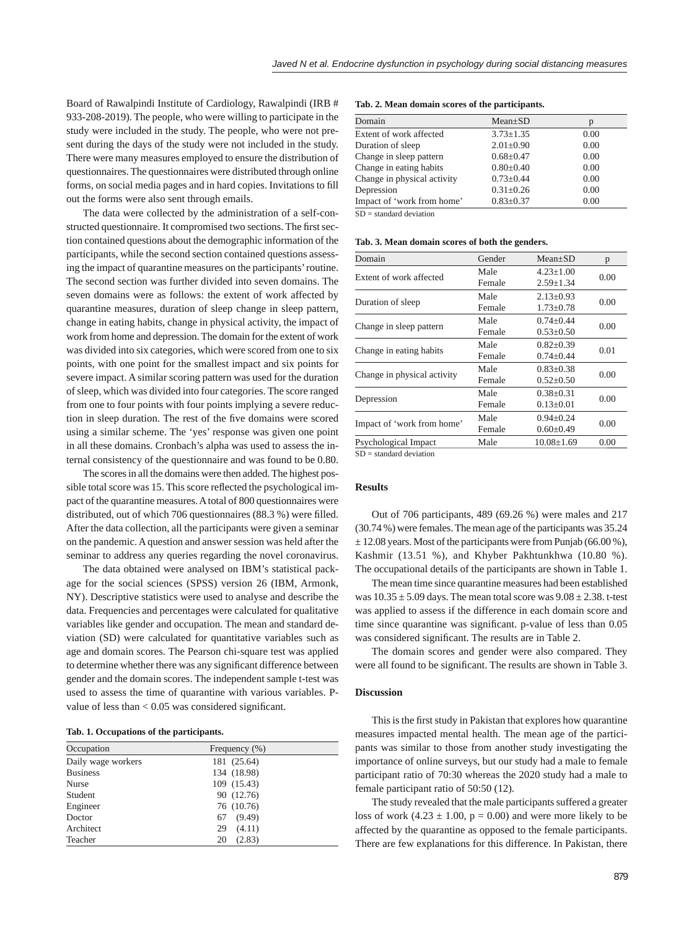Board of Rawalpindi Institute of Cardiology, Rawalpindi (IRB # 933-208-2019). The people, who were willing to participate in the study were included in the study. The people, who were not present during the days of the study were not included in the study. There were many measures employed to ensure the distribution of questionnaires. The questionnaires were distributed through online forms, on social media pages and in hard copies. Invitations to fill out the forms were also sent through emails.

The data were collected by the administration of a self-constructed questionnaire. It compromised two sections. The first section contained questions about the demographic information of the participants, while the second section contained questions assessing the impact of quarantine measures on the participants' routine. The second section was further divided into seven domains. The seven domains were as follows: the extent of work affected by quarantine measures, duration of sleep change in sleep pattern, change in eating habits, change in physical activity, the impact of work from home and depression. The domain for the extent of work was divided into six categories, which were scored from one to six points, with one point for the smallest impact and six points for severe impact. A similar scoring pattern was used for the duration of sleep, which was divided into four categories. The score ranged from one to four points with four points implying a severe reduction in sleep duration. The rest of the five domains were scored using a similar scheme. The 'yes' response was given one point in all these domains. Cronbach's alpha was used to assess the internal consistency of the questionnaire and was found to be 0.80.

The scores in all the domains were then added. The highest possible total score was 15. This score reflected the psychological impact of the quarantine measures. A total of 800 questionnaires were distributed, out of which 706 questionnaires (88.3 %) were filled. After the data collection, all the participants were given a seminar on the pandemic. A question and answer session was held after the seminar to address any queries regarding the novel coronavirus.

The data obtained were analysed on IBM's statistical package for the social sciences (SPSS) version 26 (IBM, Armonk, NY). Descriptive statistics were used to analyse and describe the data. Frequencies and percentages were calculated for qualitative variables like gender and occupation. The mean and standard deviation (SD) were calculated for quantitative variables such as age and domain scores. The Pearson chi-square test was applied to determine whether there was any significant difference between gender and the domain scores. The independent sample t-test was used to assess the time of quarantine with various variables. Pvalue of less than  $< 0.05$  was considered significant.

## **Tab. 1. Occupations of the participants.**

| Occupation         | Frequency (%) |
|--------------------|---------------|
| Daily wage workers | 181 (25.64)   |
| <b>Business</b>    | 134 (18.98)   |
| Nurse              | 109 (15.43)   |
| Student            | 90 (12.76)    |
| Engineer           | 76 (10.76)    |
| Doctor             | (9.49)<br>67  |
| Architect          | (4.11)<br>29  |
| Teacher            | (2.83)<br>20  |

**Tab. 2. Mean domain scores of the participants.**

| Domain                      | $Mean \pm SD$   |      |
|-----------------------------|-----------------|------|
| Extent of work affected     | $3.73 \pm 1.35$ | 0.00 |
| Duration of sleep           | $2.01 \pm 0.90$ | 0.00 |
| Change in sleep pattern     | $0.68 \pm 0.47$ | 0.00 |
| Change in eating habits     | $0.80 \pm 0.40$ | 0.00 |
| Change in physical activity | $0.73 + 0.44$   | 0.00 |
| Depression                  | $0.31 \pm 0.26$ | 0.00 |
| Impact of 'work from home'  | $0.83 \pm 0.37$ | 0.00 |

 $SD = standard deviation$ 

**Tab. 3. Mean domain scores of both the genders.**

| Domain                      | Gender | $Mean \pm SD$    | p    |  |
|-----------------------------|--------|------------------|------|--|
| Extent of work affected     | Male   | $4.23 + 1.00$    | 0.00 |  |
|                             | Female | $2.59 \pm 1.34$  |      |  |
| Duration of sleep           | Male   | $2.13 \pm 0.93$  | 0.00 |  |
|                             | Female | $1.73 \pm 0.78$  |      |  |
| Change in sleep pattern     | Male   | $0.74 + 0.44$    | 0.00 |  |
|                             | Female | $0.53 \pm 0.50$  |      |  |
| Change in eating habits     | Male   | $0.82 + 0.39$    | 0.01 |  |
|                             | Female | $0.74 \pm 0.44$  |      |  |
| Change in physical activity | Male   | $0.83 \pm 0.38$  | 0.00 |  |
|                             | Female | $0.52 \pm 0.50$  |      |  |
| Depression                  | Male   | $0.38 + 0.31$    | 0.00 |  |
|                             | Female | $0.13 \pm 0.01$  |      |  |
| Impact of 'work from home'  | Male   | $0.94 \pm 0.24$  | 0.00 |  |
|                             | Female | $0.60 \pm 0.49$  |      |  |
| Psychological Impact        | Male   | $10.08 \pm 1.69$ | 0.00 |  |
| $CD = standard deviation$   |        |                  |      |  |

SD = standard deviation

## **Results**

Out of 706 participants, 489 (69.26 %) were males and 217 (30.74 %) were females. The mean age of the participants was 35.24  $\pm$  12.08 years. Most of the participants were from Punjab (66.00 %), Kashmir (13.51 %), and Khyber Pakhtunkhwa (10.80 %). The occupational details of the participants are shown in Table 1.

The mean time since quarantine measures had been established was  $10.35 \pm 5.09$  days. The mean total score was  $9.08 \pm 2.38$ . t-test was applied to assess if the difference in each domain score and time since quarantine was significant. p-value of less than 0.05 was considered significant. The results are in Table 2.

The domain scores and gender were also compared. They were all found to be significant. The results are shown in Table 3.

## **Discussion**

This is the first study in Pakistan that explores how quarantine measures impacted mental health. The mean age of the participants was similar to those from another study investigating the importance of online surveys, but our study had a male to female participant ratio of 70:30 whereas the 2020 study had a male to female participant ratio of 50:50 (12).

The study revealed that the male participants suffered a greater loss of work  $(4.23 \pm 1.00, p = 0.00)$  and were more likely to be affected by the quarantine as opposed to the female participants. There are few explanations for this difference. In Pakistan, there